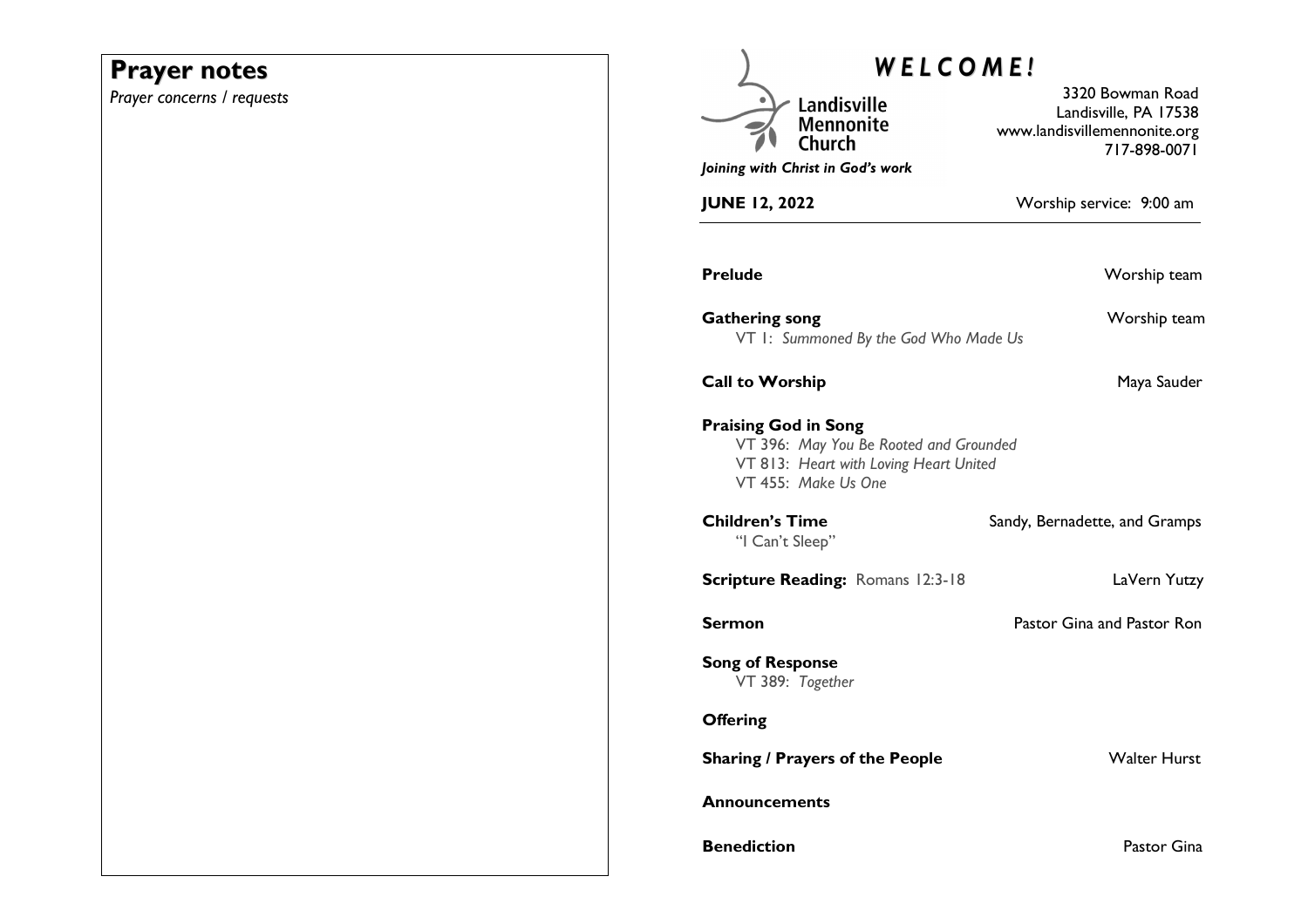# **Prayer notes**

*Prayer concerns / requests* 

| WELCOME!                                                                                                                               |                                                                                           |
|----------------------------------------------------------------------------------------------------------------------------------------|-------------------------------------------------------------------------------------------|
| Landisville<br><b>Mennonite</b><br>Church                                                                                              | 3320 Bowman Road<br>Landisville, PA 17538<br>www.landisvillemennonite.org<br>717-898-0071 |
| Joining with Christ in God's work                                                                                                      |                                                                                           |
| <b>JUNE 12, 2022</b>                                                                                                                   | Worship service: 9:00 am                                                                  |
| <b>Prelude</b>                                                                                                                         | Worship team                                                                              |
| <b>Gathering song</b><br>VT I: Summoned By the God Who Made Us                                                                         | Worship team                                                                              |
| <b>Call to Worship</b>                                                                                                                 | Maya Sauder                                                                               |
| <b>Praising God in Song</b><br>VT 396: May You Be Rooted and Grounded<br>VT 813: Heart with Loving Heart United<br>VT 455: Make Us One |                                                                                           |
| <b>Children's Time</b><br>"I Can't Sleep"                                                                                              | Sandy, Bernadette, and Gramps                                                             |
| <b>Scripture Reading: Romans 12:3-18</b>                                                                                               | LaVern Yutzy                                                                              |
| Sermon                                                                                                                                 | Pastor Gina and Pastor Ron                                                                |
| <b>Song of Response</b><br>VT 389: Together                                                                                            |                                                                                           |
| <b>Offering</b>                                                                                                                        |                                                                                           |
| <b>Sharing / Prayers of the People</b>                                                                                                 | <b>Walter Hurst</b>                                                                       |
| <b>Announcements</b>                                                                                                                   |                                                                                           |
| <b>Benediction</b>                                                                                                                     | Pastor Gina                                                                               |